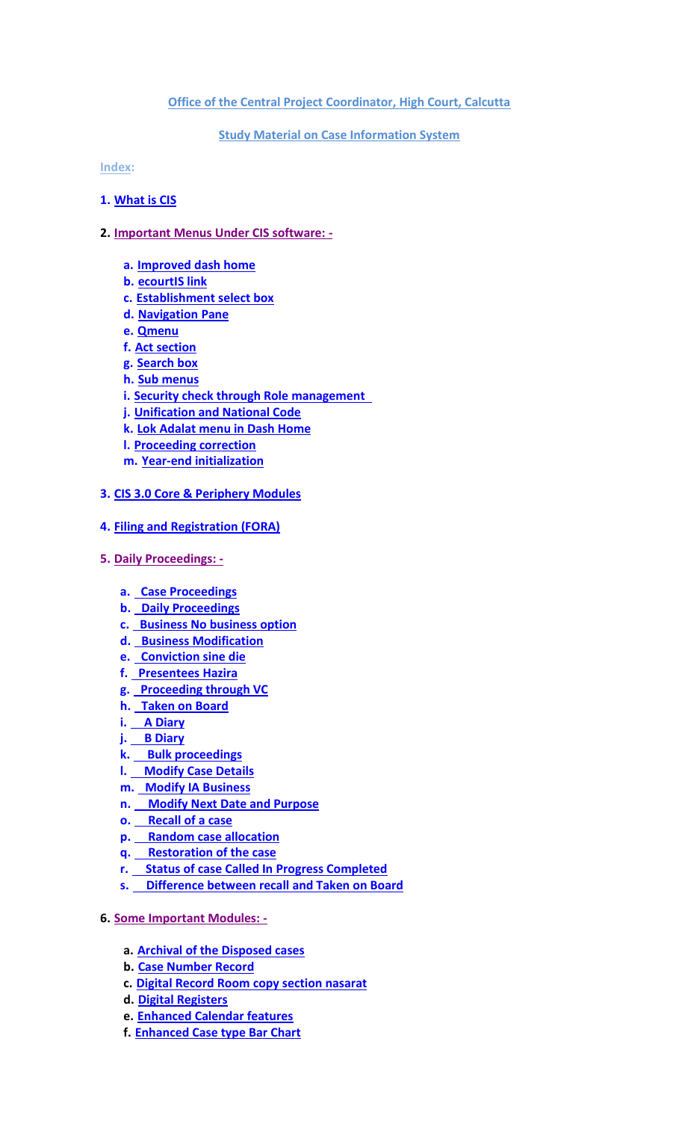### **Office of the Central Project Coordinator, High Court, Calcutta**

# **Study Material on Case Information System**

**Index:**

### **1. [What is CIS](http://calcuttahighcourt.gov.in/downloads/ecourt_files/cis3/What_is_CIS.pdf)**

### **2. Important Menus Under CIS software: -**

- **a. [Improved dash home](http://calcuttahighcourt.gov.in/downloads/ecourt_files/cis3/important_menus_under_CIS/Important_Menus_Under_CIS_3.0.pdf)**
- **b. [ecourtIS link](http://calcuttahighcourt.gov.in/downloads/ecourt_files/cis3/important_menus_under_CIS/ecourtIS_link.pdf)**
- **c. [Establishment select box](http://calcuttahighcourt.gov.in/downloads/ecourt_files/cis3/important_menus_under_CIS/Establishment_select_box.pdf)**
- **d. [Navigation Pane](http://calcuttahighcourt.gov.in/downloads/ecourt_files/cis3/important_menus_under_CIS/Navigation_Pane.pdf)**
- **e. [Qmenu](http://calcuttahighcourt.gov.in/downloads/ecourt_files/cis3/important_menus_under_CIS/Qmenu.pdf)**
- **f. [Act section](http://calcuttahighcourt.gov.in/downloads/ecourt_files/cis3/important_menus_under_CIS/Act_section.pdf)**
- **g. [Search box](http://calcuttahighcourt.gov.in/downloads/ecourt_files/cis3/important_menus_under_CIS/Search_box.pdf)**
- **h. [Sub menus](http://calcuttahighcourt.gov.in/downloads/ecourt_files/cis3/important_menus_under_CIS/Sub_menus.pdf)**
- **i. [Security check through Role management](http://calcuttahighcourt.gov.in/downloads/ecourt_files/cis3/important_menus_under_CIS/Security_check_through_Role_management.pdf)**
- **j. [Unification and National Code](http://calcuttahighcourt.gov.in/downloads/ecourt_files/cis3/important_menus_under_CIS/Unification_and_National_Code.pdf)**
- **k. [Lok Adalat menu in Dash Home](http://calcuttahighcourt.gov.in/downloads/ecourt_files/cis3/important_menus_under_CIS/Lok_Adalat_menu_in_Dash_Home.pdf)**
- **l. [Proceeding correction](http://calcuttahighcourt.gov.in/downloads/ecourt_files/cis3/important_menus_under_CIS/Proceeding_correction.pdf)**
- **m. Year-end [initialization](http://calcuttahighcourt.gov.in/downloads/ecourt_files/cis3/important_menus_under_CIS/Year_end_initialization.pdf)**

# **3. [CIS 3.0 Core & Periphery Modules](http://calcuttahighcourt.gov.in/downloads/ecourt_files/cis3/core_and_periphery_module/CIS_3.0_Core_&_Periphery_Modules.pdf)**

- **4. [Filing and Registration \(FORA\)](http://calcuttahighcourt.gov.in/downloads/ecourt_files/cis3/filing_and_registration/Filing_and_Registration.pdf)**
- **5. Daily Proceedings:** 
	- **a. [Case Proceedings](http://calcuttahighcourt.gov.in/downloads/ecourt_files/cis3/Daily_proceedings/Case_Proceedings.pdf)**
	- **b. [Daily Proceedings](http://calcuttahighcourt.gov.in/downloads/ecourt_files/cis3/Daily_proceedings/Daily_Proceedings.pdf)**
	- **c. Business [No business option](http://calcuttahighcourt.gov.in/downloads/ecourt_files/cis3/Daily_proceedings/Business_No_business_option.pdf)**
	- **d. [Business Modification](http://calcuttahighcourt.gov.in/downloads/ecourt_files/cis3/Daily_proceedings/Business_Modification.pdf)**
	- **e. [Conviction](http://calcuttahighcourt.gov.in/downloads/ecourt_files/cis3/Daily_proceedings/Conviction_sinedie.pdf) sine die**
	- **f. [Presentees](http://calcuttahighcourt.gov.in/downloads/ecourt_files/cis3/Daily_proceedings/Presentees_Hazira.pdf) Hazira**
	- **g. [Proceeding through VC](http://calcuttahighcourt.gov.in/downloads/ecourt_files/cis3/Daily_proceedings/Proceeding_through_VC.pdf)**
	- **h. [Taken on Board](http://calcuttahighcourt.gov.in/downloads/ecourt_files/cis3/Daily_proceedings/Taken_on_Board.pdf)**
	- **i. [A Diary](http://calcuttahighcourt.gov.in/downloads/ecourt_files/cis3/Daily_proceedings/A_Diary.pdf)**
	- **j. [B Diary](http://calcuttahighcourt.gov.in/downloads/ecourt_files/cis3/Daily_proceedings/B_Diary.pdf)**
	- **k. [Bulk proceedings](http://calcuttahighcourt.gov.in/downloads/ecourt_files/cis3/Daily_proceedings/Bulk_proceedings.pdf)**
	- **l. [Modify Case Details](http://calcuttahighcourt.gov.in/downloads/ecourt_files/cis3/Daily_proceedings/Modify_Case_Details.pdf)**
	- **m. [Modify IA Business](http://calcuttahighcourt.gov.in/downloads/ecourt_files/cis3/Daily_proceedings/Modify_IA_Business.pdf)**
	- **n. [Modify Next Date and Purpose](http://calcuttahighcourt.gov.in/downloads/ecourt_files/cis3/Daily_proceedings/Modify_Next_Date_and_Purpose.pdf)**
	- **o. [Recall of a case](http://calcuttahighcourt.gov.in/downloads/ecourt_files/cis3/Daily_proceedings/Recall_of_a_case.pdf)**
	- **p. [Random case allocation](http://calcuttahighcourt.gov.in/downloads/ecourt_files/cis3/Daily_proceedings/Random_case_allocation.pdf)**
	- **q. [Restoration of the case](http://calcuttahighcourt.gov.in/downloads/ecourt_files/cis3/Daily_proceedings/Restoration_of_the_case.pdf)**
	- **r. [Status of case Called In](http://calcuttahighcourt.gov.in/downloads/ecourt_files/cis3/Daily_proceedings/Status_of_case_Called_In_Progress_Completed.pdf) Progress Completed**
	- **s. [Difference between recall and Taken on Board](http://calcuttahighcourt.gov.in/downloads/ecourt_files/cis3/Daily_proceedings/Difference_between_recall_and_Taken_on_Board.pdf)**
- **6. Some Important Modules:** 
	- **a. [Archival of the Disposed cases](http://calcuttahighcourt.gov.in/downloads/ecourt_files/cis3/Some_Important_Modules/Archival_of_the_Disposed_cases.pdf)**
	- **b. [Case Number Record](http://calcuttahighcourt.gov.in/downloads/ecourt_files/cis3/Some_Important_Modules/Case_Number_Record.pdf)**
	- **c. [Digital Record Room copy section](http://calcuttahighcourt.gov.in/downloads/ecourt_files/cis3/Some_Important_Modules/Digital_Record_Room_copy_section_nasarat.pdf) nasarat**
	- **d. [Digital Registers](http://calcuttahighcourt.gov.in/downloads/ecourt_files/cis3/Some_Important_Modules/Digital_Registers.pdf)**
	- **e. [Enhanced Calendar features](http://calcuttahighcourt.gov.in/downloads/ecourt_files/cis3/Some_Important_Modules/Enhanced_Calendar_features.pdf)**
	- **f. [Enhanced Case type Bar Chart](http://calcuttahighcourt.gov.in/downloads/ecourt_files/cis3/Some_Important_Modules/Enhanced_Case_type_Bar_Chart.pdf)**